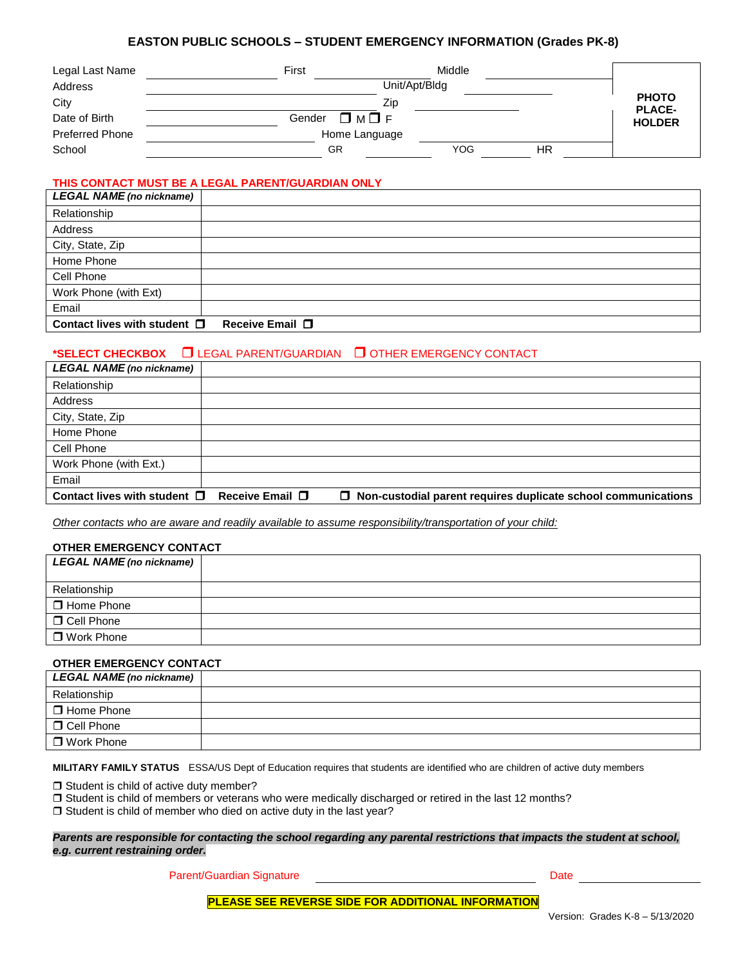# **EASTON PUBLIC SCHOOLS – STUDENT EMERGENCY INFORMATION (Grades PK-8)**

| Legal Last Name        | Middle<br>First                   |                               |
|------------------------|-----------------------------------|-------------------------------|
| Address                | Unit/Apt/Bldg                     |                               |
| City                   | Zip                               | <b>PHOTO</b><br><b>PLACE-</b> |
| Date of Birth          | $\square$ M $\square$ F<br>Gender | <b>HOLDER</b>                 |
| <b>Preferred Phone</b> | Home Language                     |                               |
| School                 | <b>YOG</b><br>ΗR<br>GR            |                               |

# **THIS CONTACT MUST BE A LEGAL PARENT/GUARDIAN ONLY**

| <b>LEGAL NAME (no nickname)</b>      |                 |
|--------------------------------------|-----------------|
| Relationship                         |                 |
| Address                              |                 |
| City, State, Zip                     |                 |
| Home Phone                           |                 |
| Cell Phone                           |                 |
| Work Phone (with Ext)                |                 |
| Email                                |                 |
| Contact lives with student $\square$ | Receive Email □ |

# **\*SELECT CHECKBOX**  LEGAL PARENT/GUARDIAN OTHER EMERGENCY CONTACT

| <b>LEGAL NAME</b> (no nickname)                              |                                                                      |
|--------------------------------------------------------------|----------------------------------------------------------------------|
| Relationship                                                 |                                                                      |
| Address                                                      |                                                                      |
| City, State, Zip                                             |                                                                      |
| Home Phone                                                   |                                                                      |
| Cell Phone                                                   |                                                                      |
| Work Phone (with Ext.)                                       |                                                                      |
| Email                                                        |                                                                      |
| Contact lives with student $\square$ Receive Email $\square$ | $\Box$ Non-custodial parent requires duplicate school communications |

*Other contacts who are aware and readily available to assume responsibility/transportation of your child:*

### **OTHER EMERGENCY CONTACT**

| <b>LEGAL NAME (no nickname)</b> |  |
|---------------------------------|--|
| Relationship                    |  |
| □ Home Phone                    |  |
| □ Cell Phone                    |  |
| □ Work Phone                    |  |
|                                 |  |

# **OTHER EMERGENCY CONTACT**

| <b>LEGAL NAME (no nickname)</b> |  |
|---------------------------------|--|
| Relationship                    |  |
| □ Home Phone                    |  |
| □ Cell Phone                    |  |
| □ Work Phone                    |  |

**MILITARY FAMILY STATUS** ESSA/US Dept of Education requires that students are identified who are children of active duty members

 $\Box$  Student is child of active duty member?

Student is child of members or veterans who were medically discharged or retired in the last 12 months?

 $\square$  Student is child of member who died on active duty in the last year?

#### *Parents are responsible for contacting the school regarding any parental restrictions that impacts the student at school, e.g. current restraining order.*

Parent/Guardian Signature **Date** Date of Parent/Guardian Signature Date

**PLEASE SEE REVERSE SIDE FOR ADDITIONAL INFORMATION**